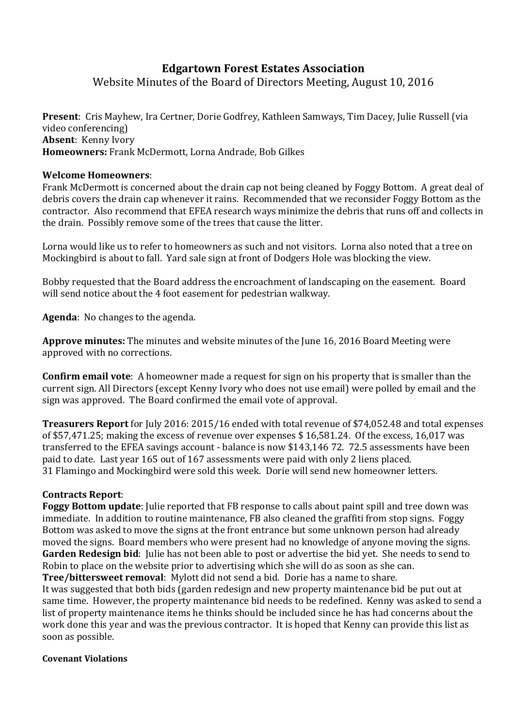# **Edgartown Forest Estates Association**

Website Minutes of the Board of Directors Meeting, August 10, 2016

**Present**: Cris Mayhew, Ira Certner, Dorie Godfrey, Kathleen Samways, Tim Dacey, Julie Russell (via video conferencing) **Absent**: Kenny Ivory **Homeowners:** Frank McDermott, Lorna Andrade, Bob Gilkes

### **Welcome Homeowners**:

Frank McDermott is concerned about the drain cap not being cleaned by Foggy Bottom. A great deal of debris covers the drain cap whenever it rains. Recommended that we reconsider Foggy Bottom as the contractor. Also recommend that EFEA research ways minimize the debris that runs off and collects in the drain. Possibly remove some of the trees that cause the litter.

Lorna would like us to refer to homeowners as such and not visitors. Lorna also noted that a tree on Mockingbird is about to fall. Yard sale sign at front of Dodgers Hole was blocking the view.

Bobby requested that the Board address the encroachment of landscaping on the easement. Board will send notice about the 4 foot easement for pedestrian walkway.

**Agenda**: No changes to the agenda.

**Approve minutes:** The minutes and website minutes of the June 16, 2016 Board Meeting were approved with no corrections.

**Confirm email vote**: A homeowner made a request for sign on his property that is smaller than the current sign. All Directors (except Kenny Ivory who does not use email) were polled by email and the sign was approved. The Board confirmed the email vote of approval.

**Treasurers Report** for July 2016: 2015/16 ended with total revenue of \$74,052.48 and total expenses of \$57,471.25; making the excess of revenue over expenses \$ 16,581.24. Of the excess, 16,017 was transferred to the EFEA savings account - balance is now \$143,146 72. 72.5 assessments have been paid to date. Last year 165 out of 167 assessments were paid with only 2 liens placed. 31 Flamingo and Mockingbird were sold this week. Dorie will send new homeowner letters.

## **Contracts Report**:

**Foggy Bottom update**: Julie reported that FB response to calls about paint spill and tree down was immediate. In addition to routine maintenance, FB also cleaned the graffiti from stop signs. Foggy Bottom was asked to move the signs at the front entrance but some unknown person had already moved the signs. Board members who were present had no knowledge of anyone moving the signs. **Garden Redesign bid**: Julie has not been able to post or advertise the bid yet. She needs to send to Robin to place on the website prior to advertising which she will do as soon as she can. **Tree/bittersweet removal**: Mylott did not send a bid. Dorie has a name to share.

It was suggested that both bids (garden redesign and new property maintenance bid be put out at same time. However, the property maintenance bid needs to be redefined. Kenny was asked to send a list of property maintenance items he thinks should be included since he has had concerns about the work done this year and was the previous contractor. It is hoped that Kenny can provide this list as soon as possible.

#### **Covenant Violations**